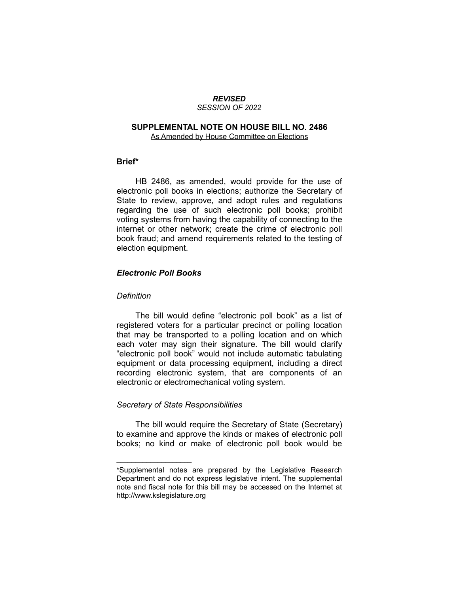#### *REVISED SESSION OF 2022*

#### **SUPPLEMENTAL NOTE ON HOUSE BILL NO. 2486** As Amended by House Committee on Elections

#### **Brief\***

HB 2486, as amended, would provide for the use of electronic poll books in elections; authorize the Secretary of State to review, approve, and adopt rules and regulations regarding the use of such electronic poll books; prohibit voting systems from having the capability of connecting to the internet or other network; create the crime of electronic poll book fraud; and amend requirements related to the testing of election equipment.

#### *Electronic Poll Books*

#### *Definition*

The bill would define "electronic poll book" as a list of registered voters for a particular precinct or polling location that may be transported to a polling location and on which each voter may sign their signature. The bill would clarify "electronic poll book" would not include automatic tabulating equipment or data processing equipment, including a direct recording electronic system, that are components of an electronic or electromechanical voting system.

#### *Secretary of State Responsibilities*

 $\overline{\phantom{a}}$  , where  $\overline{\phantom{a}}$  , where  $\overline{\phantom{a}}$ 

The bill would require the Secretary of State (Secretary) to examine and approve the kinds or makes of electronic poll books; no kind or make of electronic poll book would be

<sup>\*</sup>Supplemental notes are prepared by the Legislative Research Department and do not express legislative intent. The supplemental note and fiscal note for this bill may be accessed on the Internet at http://www.kslegislature.org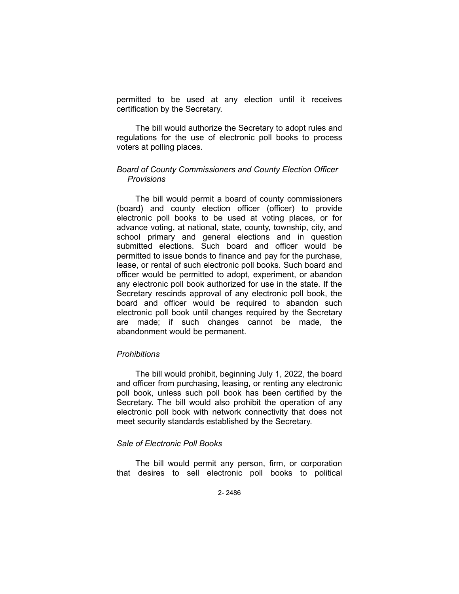permitted to be used at any election until it receives certification by the Secretary.

The bill would authorize the Secretary to adopt rules and regulations for the use of electronic poll books to process voters at polling places.

### *Board of County Commissioners and County Election Officer Provisions*

The bill would permit a board of county commissioners (board) and county election officer (officer) to provide electronic poll books to be used at voting places, or for advance voting, at national, state, county, township, city, and school primary and general elections and in question submitted elections. Such board and officer would be permitted to issue bonds to finance and pay for the purchase, lease, or rental of such electronic poll books. Such board and officer would be permitted to adopt, experiment, or abandon any electronic poll book authorized for use in the state. If the Secretary rescinds approval of any electronic poll book, the board and officer would be required to abandon such electronic poll book until changes required by the Secretary are made; if such changes cannot be made, the abandonment would be permanent.

#### *Prohibitions*

The bill would prohibit, beginning July 1, 2022, the board and officer from purchasing, leasing, or renting any electronic poll book, unless such poll book has been certified by the Secretary. The bill would also prohibit the operation of any electronic poll book with network connectivity that does not meet security standards established by the Secretary.

#### *Sale of Electronic Poll Books*

The bill would permit any person, firm, or corporation that desires to sell electronic poll books to political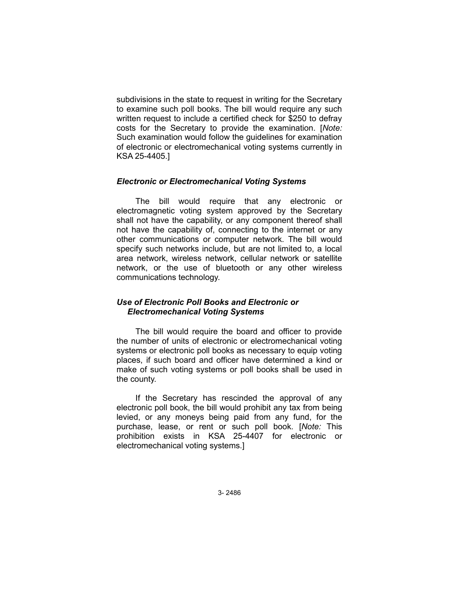subdivisions in the state to request in writing for the Secretary to examine such poll books. The bill would require any such written request to include a certified check for \$250 to defray costs for the Secretary to provide the examination. [*Note:* Such examination would follow the guidelines for examination of electronic or electromechanical voting systems currently in KSA 25-4405.]

#### *Electronic or Electromechanical Voting Systems*

The bill would require that any electronic or electromagnetic voting system approved by the Secretary shall not have the capability, or any component thereof shall not have the capability of, connecting to the internet or any other communications or computer network. The bill would specify such networks include, but are not limited to, a local area network, wireless network, cellular network or satellite network, or the use of bluetooth or any other wireless communications technology.

### *Use of Electronic Poll Books and Electronic or Electromechanical Voting Systems*

The bill would require the board and officer to provide the number of units of electronic or electromechanical voting systems or electronic poll books as necessary to equip voting places, if such board and officer have determined a kind or make of such voting systems or poll books shall be used in the county.

If the Secretary has rescinded the approval of any electronic poll book, the bill would prohibit any tax from being levied, or any moneys being paid from any fund, for the purchase, lease, or rent or such poll book. [*Note:* This prohibition exists in KSA 25-4407 for electronic or electromechanical voting systems.]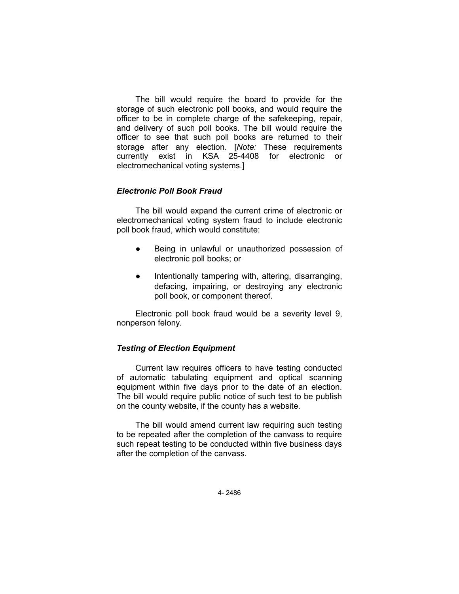The bill would require the board to provide for the storage of such electronic poll books, and would require the officer to be in complete charge of the safekeeping, repair, and delivery of such poll books. The bill would require the officer to see that such poll books are returned to their storage after any election. [*Note:* These requirements currently exist in KSA 25-4408 for electronic or electromechanical voting systems.]

## *Electronic Poll Book Fraud*

The bill would expand the current crime of electronic or electromechanical voting system fraud to include electronic poll book fraud, which would constitute:

- Being in unlawful or unauthorized possession of electronic poll books; or
- Intentionally tampering with, altering, disarranging, defacing, impairing, or destroying any electronic poll book, or component thereof.

Electronic poll book fraud would be a severity level 9, nonperson felony.

# *Testing of Election Equipment*

Current law requires officers to have testing conducted of automatic tabulating equipment and optical scanning equipment within five days prior to the date of an election. The bill would require public notice of such test to be publish on the county website, if the county has a website.

The bill would amend current law requiring such testing to be repeated after the completion of the canvass to require such repeat testing to be conducted within five business days after the completion of the canvass.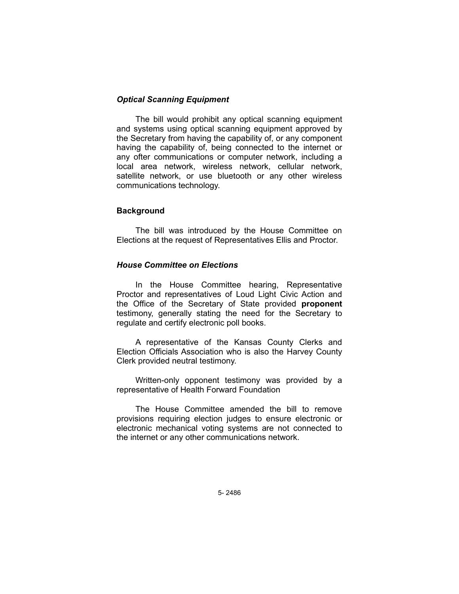## *Optical Scanning Equipment*

The bill would prohibit any optical scanning equipment and systems using optical scanning equipment approved by the Secretary from having the capability of, or any component having the capability of, being connected to the internet or any ofter communications or computer network, including a local area network, wireless network, cellular network, satellite network, or use bluetooth or any other wireless communications technology.

## **Background**

The bill was introduced by the House Committee on Elections at the request of Representatives Ellis and Proctor.

## *House Committee on Elections*

In the House Committee hearing, Representative Proctor and representatives of Loud Light Civic Action and the Office of the Secretary of State provided **proponent** testimony, generally stating the need for the Secretary to regulate and certify electronic poll books.

A representative of the Kansas County Clerks and Election Officials Association who is also the Harvey County Clerk provided neutral testimony.

Written-only opponent testimony was provided by a representative of Health Forward Foundation

The House Committee amended the bill to remove provisions requiring election judges to ensure electronic or electronic mechanical voting systems are not connected to the internet or any other communications network.